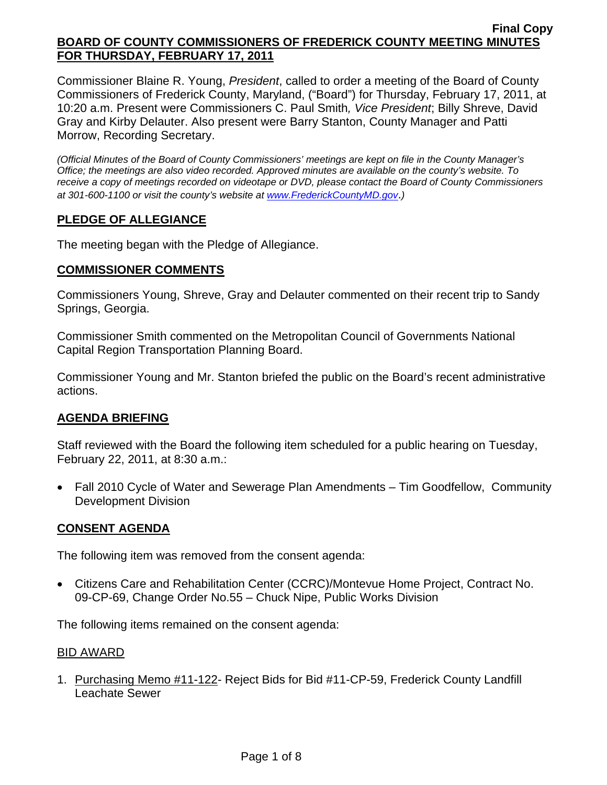Commissioner Blaine R. Young, *President*, called to order a meeting of the Board of County Commissioners of Frederick County, Maryland, ("Board") for Thursday, February 17, 2011, at 10:20 a.m. Present were Commissioners C. Paul Smith*, Vice President*; Billy Shreve, David Gray and Kirby Delauter. Also present were Barry Stanton, County Manager and Patti Morrow, Recording Secretary.

*(Official Minutes of the Board of County Commissioners' meetings are kept on file in the County Manager's Office; the meetings are also video recorded. Approved minutes are available on the county's website. To receive a copy of meetings recorded on videotape or DVD, please contact the Board of County Commissioners at 301-600-1100 or visit the county's website at [www.FrederickCountyMD.gov](http://www.frederickcountymd.gov/)*.*)* 

# **PLEDGE OF ALLEGIANCE**

The meeting began with the Pledge of Allegiance.

## **COMMISSIONER COMMENTS**

Commissioners Young, Shreve, Gray and Delauter commented on their recent trip to Sandy Springs, Georgia.

Commissioner Smith commented on the Metropolitan Council of Governments National Capital Region Transportation Planning Board.

Commissioner Young and Mr. Stanton briefed the public on the Board's recent administrative actions.

## **AGENDA BRIEFING**

Staff reviewed with the Board the following item scheduled for a public hearing on Tuesday, February 22, 2011, at 8:30 a.m.:

• Fall 2010 Cycle of Water and Sewerage Plan Amendments – Tim Goodfellow, Community Development Division

## **CONSENT AGENDA**

The following item was removed from the consent agenda:

• Citizens Care and Rehabilitation Center (CCRC)/Montevue Home Project, Contract No. 09-CP-69, Change Order No.55 – Chuck Nipe, Public Works Division

The following items remained on the consent agenda:

#### BID AWARD

1. Purchasing Memo #11-122- Reject Bids for Bid #11-CP-59, Frederick County Landfill Leachate Sewer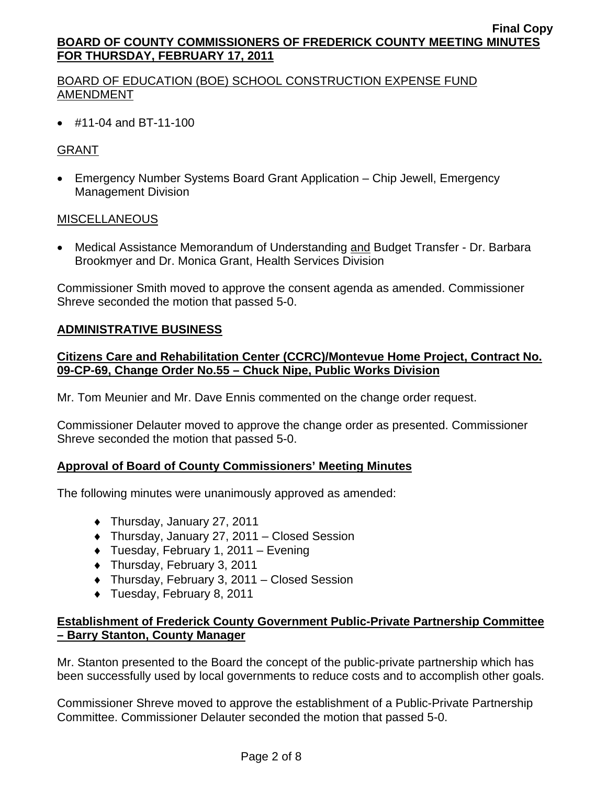# BOARD OF EDUCATION (BOE) SCHOOL CONSTRUCTION EXPENSE FUND AMENDMENT

• #11-04 and BT-11-100

# GRANT

• Emergency Number Systems Board Grant Application – Chip Jewell, Emergency Management Division

## MISCELLANEOUS

• Medical Assistance Memorandum of Understanding and Budget Transfer - Dr. Barbara Brookmyer and Dr. Monica Grant, Health Services Division

Commissioner Smith moved to approve the consent agenda as amended. Commissioner Shreve seconded the motion that passed 5-0.

## **ADMINISTRATIVE BUSINESS**

## **Citizens Care and Rehabilitation Center (CCRC)/Montevue Home Project, Contract No. 09-CP-69, Change Order No.55 – Chuck Nipe, Public Works Division**

Mr. Tom Meunier and Mr. Dave Ennis commented on the change order request.

Commissioner Delauter moved to approve the change order as presented. Commissioner Shreve seconded the motion that passed 5-0.

## **Approval of Board of County Commissioners' Meeting Minutes**

The following minutes were unanimously approved as amended:

- ♦ Thursday, January 27, 2011
- ♦ Thursday, January 27, 2011 Closed Session
- ♦ Tuesday, February 1, 2011 Evening
- ♦ Thursday, February 3, 2011
- ♦ Thursday, February 3, 2011 Closed Session
- ♦ Tuesday, February 8, 2011

# **Establishment of Frederick County Government Public-Private Partnership Committee – Barry Stanton, County Manager**

Mr. Stanton presented to the Board the concept of the public-private partnership which has been successfully used by local governments to reduce costs and to accomplish other goals.

Commissioner Shreve moved to approve the establishment of a Public-Private Partnership Committee. Commissioner Delauter seconded the motion that passed 5-0.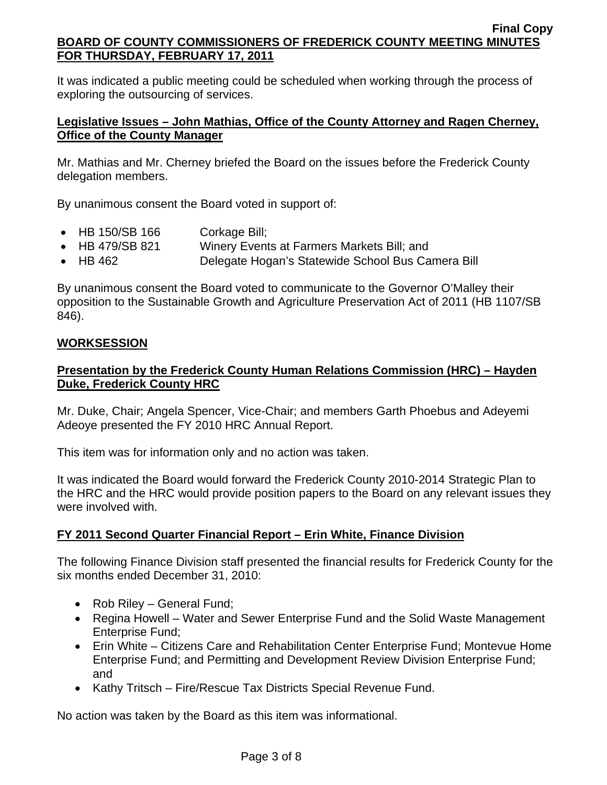It was indicated a public meeting could be scheduled when working through the process of exploring the outsourcing of services.

## **Legislative Issues – John Mathias, Office of the County Attorney and Ragen Cherney, Office of the County Manager**

Mr. Mathias and Mr. Cherney briefed the Board on the issues before the Frederick County delegation members.

By unanimous consent the Board voted in support of:

- HB 150/SB 166 Corkage Bill;
- HB 479/SB 821 Winery Events at Farmers Markets Bill; and
- HB 462 Delegate Hogan's Statewide School Bus Camera Bill

By unanimous consent the Board voted to communicate to the Governor O'Malley their opposition to the Sustainable Growth and Agriculture Preservation Act of 2011 (HB 1107/SB 846).

## **WORKSESSION**

## **Presentation by the Frederick County Human Relations Commission (HRC) – Hayden Duke, Frederick County HRC**

Mr. Duke, Chair; Angela Spencer, Vice-Chair; and members Garth Phoebus and Adeyemi Adeoye presented the FY 2010 HRC Annual Report.

This item was for information only and no action was taken.

It was indicated the Board would forward the Frederick County 2010-2014 Strategic Plan to the HRC and the HRC would provide position papers to the Board on any relevant issues they were involved with.

# **FY 2011 Second Quarter Financial Report – Erin White, Finance Division**

The following Finance Division staff presented the financial results for Frederick County for the six months ended December 31, 2010:

- Rob Riley General Fund;
- Regina Howell Water and Sewer Enterprise Fund and the Solid Waste Management Enterprise Fund;
- Erin White Citizens Care and Rehabilitation Center Enterprise Fund; Montevue Home Enterprise Fund; and Permitting and Development Review Division Enterprise Fund; and
- Kathy Tritsch Fire/Rescue Tax Districts Special Revenue Fund.

No action was taken by the Board as this item was informational.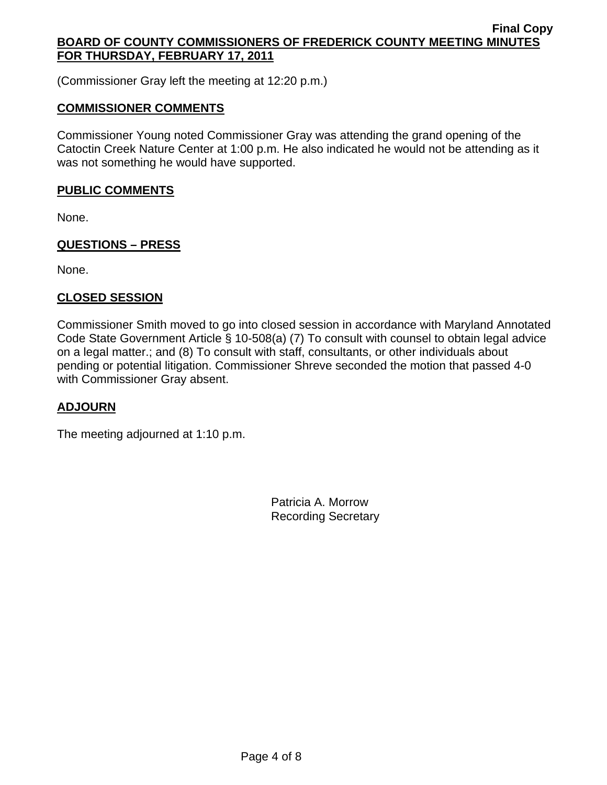(Commissioner Gray left the meeting at 12:20 p.m.)

## **COMMISSIONER COMMENTS**

Commissioner Young noted Commissioner Gray was attending the grand opening of the Catoctin Creek Nature Center at 1:00 p.m. He also indicated he would not be attending as it was not something he would have supported.

## **PUBLIC COMMENTS**

None.

# **QUESTIONS – PRESS**

None.

## **CLOSED SESSION**

Commissioner Smith moved to go into closed session in accordance with Maryland Annotated Code State Government Article § 10-508(a) (7) To consult with counsel to obtain legal advice on a legal matter.; and (8) To consult with staff, consultants, or other individuals about pending or potential litigation. Commissioner Shreve seconded the motion that passed 4-0 with Commissioner Gray absent.

## **ADJOURN**

The meeting adjourned at 1:10 p.m.

Patricia A. Morrow Recording Secretary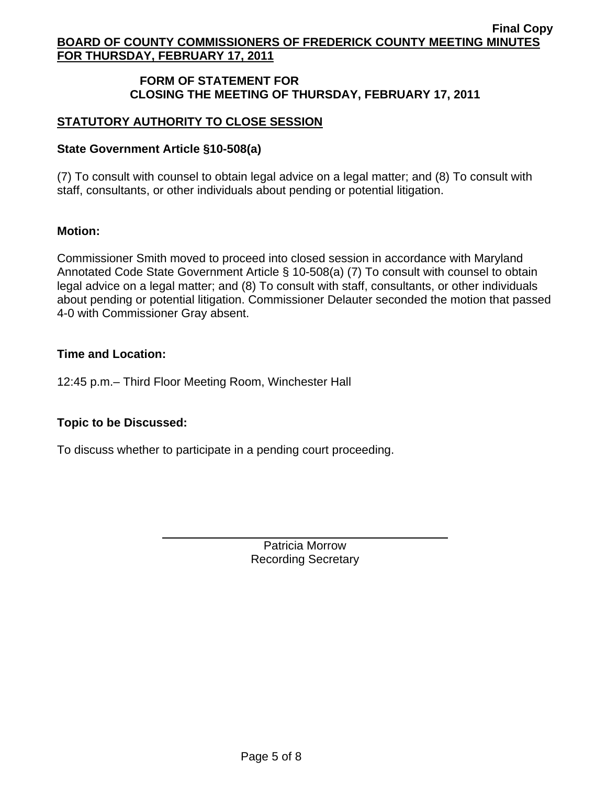## **FORM OF STATEMENT FOR CLOSING THE MEETING OF THURSDAY, FEBRUARY 17, 2011**

# **STATUTORY AUTHORITY TO CLOSE SESSION**

#### **State Government Article §10-508(a)**

(7) To consult with counsel to obtain legal advice on a legal matter; and (8) To consult with staff, consultants, or other individuals about pending or potential litigation.

#### **Motion:**

Commissioner Smith moved to proceed into closed session in accordance with Maryland Annotated Code State Government Article § 10-508(a) (7) To consult with counsel to obtain legal advice on a legal matter; and (8) To consult with staff, consultants, or other individuals about pending or potential litigation. Commissioner Delauter seconded the motion that passed 4-0 with Commissioner Gray absent.

#### **Time and Location:**

12:45 p.m.– Third Floor Meeting Room, Winchester Hall

## **Topic to be Discussed:**

 $\overline{a}$ 

To discuss whether to participate in a pending court proceeding.

Patricia Morrow Recording Secretary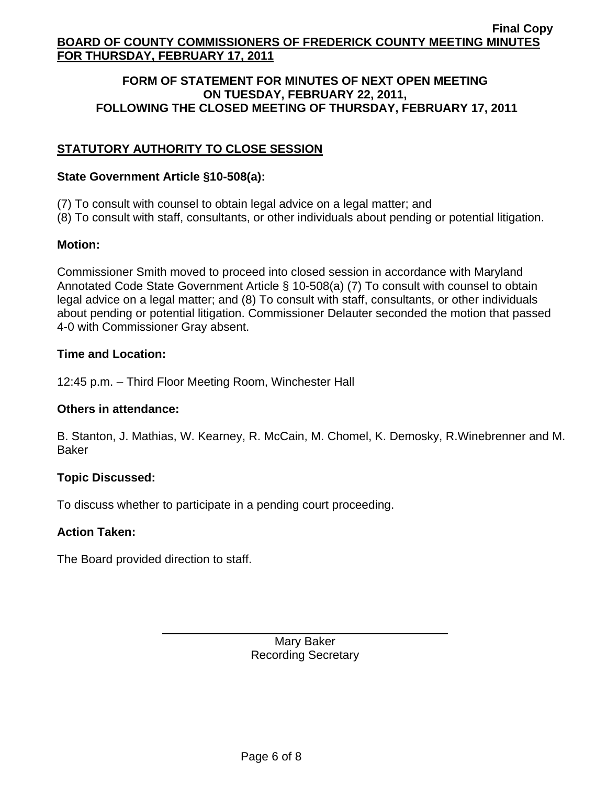#### **FORM OF STATEMENT FOR MINUTES OF NEXT OPEN MEETING ON TUESDAY, FEBRUARY 22, 2011, FOLLOWING THE CLOSED MEETING OF THURSDAY, FEBRUARY 17, 2011**

# **STATUTORY AUTHORITY TO CLOSE SESSION**

#### **State Government Article §10-508(a):**

- (7) To consult with counsel to obtain legal advice on a legal matter; and
- (8) To consult with staff, consultants, or other individuals about pending or potential litigation.

## **Motion:**

Commissioner Smith moved to proceed into closed session in accordance with Maryland Annotated Code State Government Article § 10-508(a) (7) To consult with counsel to obtain legal advice on a legal matter; and (8) To consult with staff, consultants, or other individuals about pending or potential litigation. Commissioner Delauter seconded the motion that passed 4-0 with Commissioner Gray absent.

#### **Time and Location:**

12:45 p.m. – Third Floor Meeting Room, Winchester Hall

#### **Others in attendance:**

B. Stanton, J. Mathias, W. Kearney, R. McCain, M. Chomel, K. Demosky, R.Winebrenner and M. Baker

## **Topic Discussed:**

To discuss whether to participate in a pending court proceeding.

## **Action Taken:**

The Board provided direction to staff.

 $\overline{a}$ 

Mary Baker Recording Secretary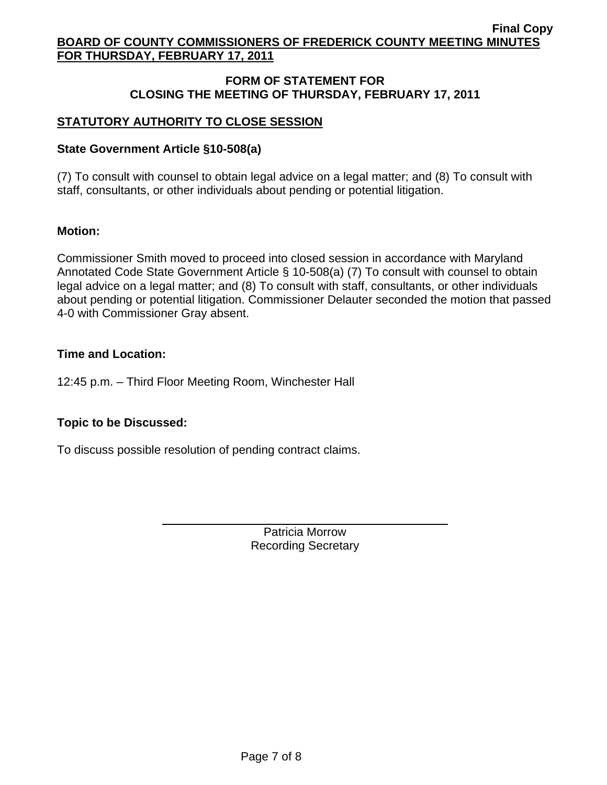## **FORM OF STATEMENT FOR CLOSING THE MEETING OF THURSDAY, FEBRUARY 17, 2011**

# **STATUTORY AUTHORITY TO CLOSE SESSION**

#### **State Government Article §10-508(a)**

(7) To consult with counsel to obtain legal advice on a legal matter; and (8) To consult with staff, consultants, or other individuals about pending or potential litigation.

#### **Motion:**

Commissioner Smith moved to proceed into closed session in accordance with Maryland Annotated Code State Government Article § 10-508(a) (7) To consult with counsel to obtain legal advice on a legal matter; and (8) To consult with staff, consultants, or other individuals about pending or potential litigation. Commissioner Delauter seconded the motion that passed 4-0 with Commissioner Gray absent.

#### **Time and Location:**

12:45 p.m. – Third Floor Meeting Room, Winchester Hall

## **Topic to be Discussed:**

To discuss possible resolution of pending contract claims.

 $\overline{a}$ 

Patricia Morrow Recording Secretary